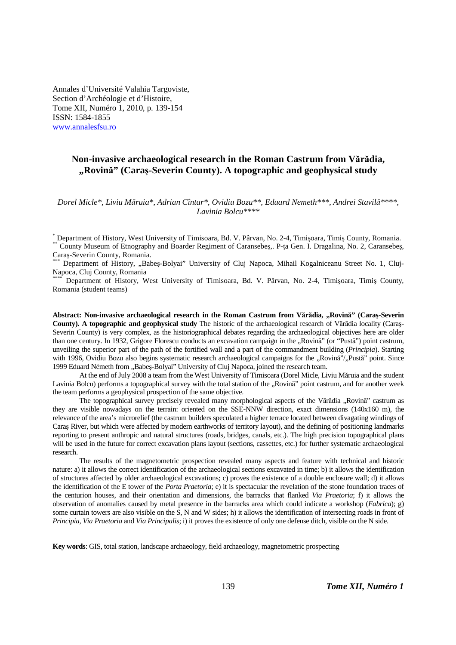Annales d'Université Valahia Targoviste, Section d'Archéologie et d'Histoire, Tome XII, Numéro 1, 2010, p. 139-154 ISSN: 1584-1855 www.annalesfsu.ro

## **Non-invasive archaeological research in the Roman Castrum from Vărădia, "Rovină" (Caraş-Severin County). A topographic and geophysical study**

*Dorel Micle\*, Liviu Măruia\*, Adrian Cîntar\*, Ovidiu Bozu\*\*, Eduard Nemeth\*\*\*, Andrei Stavilă\*\*\*\*, Lavinia Bolcu\*\*\*\** 

\* Department of History, West University of Timisoara, Bd. V. Pârvan, No. 2-4, Timişoara, Timiş County, Romania. County Museum of Etnography and Boarder Regiment of Caransebes,. P-ta Gen. I. Dragalina, No. 2, Caransebes, Caraş-Severin County, Romania.

Department of History, "Babeş-Bolyai" University of Cluj Napoca, Mihail Kogalniceanu Street No. 1, Cluj-Napoca, Cluj County, Romania

\*\*\*\* Department of History, West University of Timisoara, Bd. V. Pârvan, No. 2-4, Timişoara, Timiş County, Romania (student teams)

**Abstract: Non-invasive archaeological research in the Roman Castrum from Vărădia, "Rovină" (Caraş-Severin County). A topographic and geophysical study** The historic of the archaeological research of Vărădia locality (Caraş-Severin County) is very complex, as the historiographical debates regarding the archaeological objectives here are older than one century. In 1932, Grigore Florescu conducts an excavation campaign in the "Rovină" (or "Pustă") point castrum, unveiling the superior part of the path of the fortified wall and a part of the commandment building (*Principia*). Starting with 1996, Ovidiu Bozu also begins systematic research archaeological campaigns for the "Rovină"/"Pustă" point. Since 1999 Eduard Németh from "Babeş-Bolyai" University of Cluj Napoca, joined the research team.

At the end of July 2008 a team from the West University of Timisoara (Dorel Micle, Liviu Măruia and the student Lavinia Bolcu) performs a topographical survey with the total station of the "Rovină" point castrum, and for another week the team performs a geophysical prospection of the same objective.

The topographical survey precisely revealed many morphological aspects of the Vărădia "Rovină" castrum as they are visible nowadays on the terrain: oriented on the SSE-NNW direction, exact dimensions (140x160 m), the relevance of the area's microrelief (the castrum builders speculated a higher terrace located between divagating windings of Caraş River, but which were affected by modern earthworks of territory layout), and the defining of positioning landmarks reporting to present anthropic and natural structures (roads, bridges, canals, etc.). The high precision topographical plans will be used in the future for correct excavation plans layout (sections, cassettes, etc.) for further systematic archaeological research.

The results of the magnetometric prospection revealed many aspects and feature with technical and historic nature: a) it allows the correct identification of the archaeological sections excavated in time; b) it allows the identification of structures affected by older archaeological excavations; c) proves the existence of a double enclosure wall; d) it allows the identification of the E tower of the *Porta Praetoria*; e) it is spectacular the revelation of the stone foundation traces of the centurion houses, and their orientation and dimensions, the barracks that flanked *Via Praetoria*; f) it allows the observation of anomalies caused by metal presence in the barracks area which could indicate a workshop (*Fabrica*); g) some curtain towers are also visible on the S, N and W sides; h) it allows the identification of intersecting roads in front of *Principia*, *Via Praetoria* and *Via Principalis*; i) it proves the existence of only one defense ditch, visible on the N side.

**Key words**: GIS, total station, landscape archaeology, field archaeology, magnetometric prospecting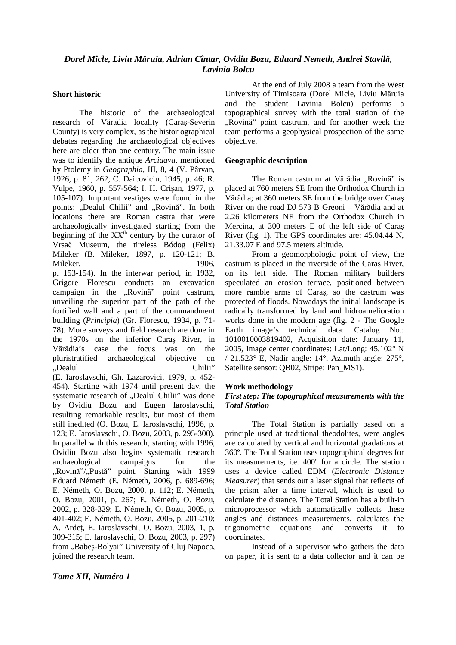## *Dorel Micle, Liviu Măruia, Adrian Cîntar, Ovidiu Bozu, Eduard Nemeth, Andrei Stavilă, Lavinia Bolcu*

#### **Short historic**

The historic of the archaeological research of Vărădia locality (Caraş-Severin County) is very complex, as the historiographical debates regarding the archaeological objectives here are older than one century. The main issue was to identify the antique *Arcidava*, mentioned by Ptolemy in *Geographia*, III, 8, 4 (V. Pârvan, 1926, p. 81, 262; C. Daicoviciu, 1945, p. 46; R. Vulpe, 1960, p. 557-564; I. H. Crişan, 1977, p. 105-107). Important vestiges were found in the points: "Dealul Chilii" and "Rovină". In both locations there are Roman castra that were archaeologically investigated starting from the beginning of the XX<sup>th</sup> century by the curator of Vrsač Museum, the tireless Bódog (Felix) Mileker (B. Mileker, 1897, p. 120-121; B. Mileker, 1906, p. 153-154). In the interwar period, in 1932, Grigore Florescu conducts an excavation campaign in the ..Rovină" point castrum, unveiling the superior part of the path of the fortified wall and a part of the commandment building (*Principia*) (Gr. Florescu, 1934, p. 71- 78). More surveys and field research are done in the 1970s on the inferior Caraş River, in Vărădia's case the focus was on the pluristratified archaeological objective on "Dealul Chilii" (E. Iaroslavschi, Gh. Lazarovici, 1979, p. 452- 454). Starting with 1974 until present day, the systematic research of "Dealul Chilii" was done by Ovidiu Bozu and Eugen Iaroslavschi, resulting remarkable results, but most of them still inedited (O. Bozu, E. Iaroslavschi, 1996, p. 123; E. Iaroslavschi, O. Bozu, 2003, p. 295-300). In parallel with this research, starting with 1996, Ovidiu Bozu also begins systematic research archaeological campaigns for the "Rovină"/"Pustă" point. Starting with 1999 Eduard Németh (E. Németh, 2006, p. 689-696; E. Németh, O. Bozu, 2000, p. 112; E. Németh, O. Bozu, 2001, p. 267; E. Németh, O. Bozu, 2002, p. 328-329; E. Németh, O. Bozu, 2005, p. 401-402; E. Németh, O. Bozu, 2005, p. 201-210; A. Ardeţ, E. Iaroslavschi, O. Bozu, 2003, 1, p. 309-315; E. Iaroslavschi, O. Bozu, 2003, p. 297) from "Babeş-Bolyai" University of Cluj Napoca, joined the research team.

At the end of July 2008 a team from the West University of Timisoara (Dorel Micle, Liviu Măruia and the student Lavinia Bolcu) performs a topographical survey with the total station of the ...Rovină" point castrum, and for another week the team performs a geophysical prospection of the same objective.

#### **Geographic description**

The Roman castrum at Vărădia "Rovină" is placed at 760 meters SE from the Orthodox Church in Vărădia; at 360 meters SE from the bridge over Caraş River on the road DJ 573 B Greoni – Vărădia and at 2.26 kilometers NE from the Orthodox Church in Mercina, at 300 meters E of the left side of Caraş River (fig. 1). The GPS coordinates are: 45.04.44 N, 21.33.07 E and 97.5 meters altitude.

From a geomorphologic point of view, the castrum is placed in the riverside of the Caraş River, on its left side. The Roman military builders speculated an erosion terrace, positioned between more ramble arms of Caraş, so the castrum was protected of floods. Nowadays the initial landscape is radically transformed by land and hidroamelioration works done in the modern age (fig. 2 - The Google Earth image's technical data: Catalog No.: 1010010003819402, Acquisition date: January 11, 2005, Image center coordinates: Lat/Long: 45.102° N / 21.523° E, Nadir angle: 14°, Azimuth angle: 275°, Satellite sensor: QB02, Stripe: Pan\_MS1).

#### **Work methodology**

#### *First step: The topographical measurements with the Total Station*

The Total Station is partially based on a principle used at traditional theodolites, were angles are calculated by vertical and horizontal gradations at 360º. The Total Station uses topographical degrees for its measurements, i.e. 400º for a circle. The station uses a device called EDM (*Electronic Distance Measurer*) that sends out a laser signal that reflects of the prism after a time interval, which is used to calculate the distance. The Total Station has a built-in microprocessor which automatically collects these angles and distances measurements, calculates the trigonometric equations and converts it to coordinates.

Instead of a supervisor who gathers the data on paper, it is sent to a data collector and it can be

#### *Tome XII, Numéro 1*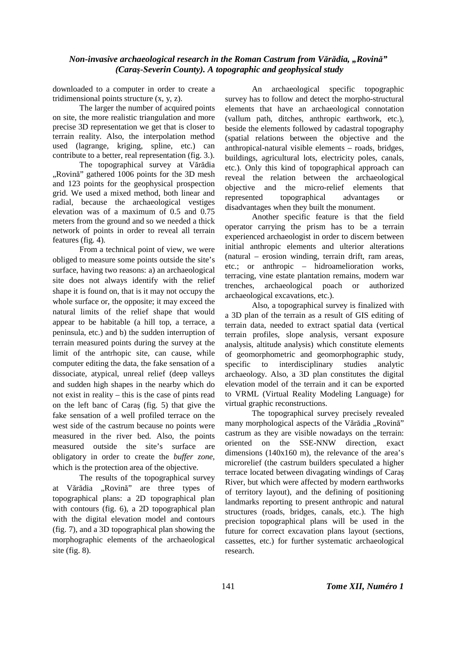downloaded to a computer in order to create a tridimensional points structure (x, y, z).

The larger the number of acquired points on site, the more realistic triangulation and more precise 3D representation we get that is closer to terrain reality. Also, the interpolation method used (lagrange, kriging, spline, etc.) can contribute to a better, real representation (fig. 3.).

The topographical survey at Vărădia "Rovină" gathered 1006 points for the 3D mesh and 123 points for the geophysical prospection grid. We used a mixed method, both linear and radial, because the archaeological vestiges elevation was of a maximum of 0.5 and 0.75 meters from the ground and so we needed a thick network of points in order to reveal all terrain features (fig. 4).

From a technical point of view, we were obliged to measure some points outside the site's surface, having two reasons: a) an archaeological site does not always identify with the relief shape it is found on, that is it may not occupy the whole surface or, the opposite; it may exceed the natural limits of the relief shape that would appear to be habitable (a hill top, a terrace, a peninsula, etc.) and b) the sudden interruption of terrain measured points during the survey at the limit of the antrhopic site, can cause, while computer editing the data, the fake sensation of a dissociate, atypical, unreal relief (deep valleys and sudden high shapes in the nearby which do not exist in reality – this is the case of pints read on the left banc of Caraş (fig. 5) that give the fake sensation of a well profiled terrace on the west side of the castrum because no points were measured in the river bed. Also, the points measured outside the site's surface are obligatory in order to create the *buffer zone*, which is the protection area of the objective.

The results of the topographical survey at Vărădia "Rovină" are three types of topographical plans: a 2D topographical plan with contours (fig. 6), a 2D topographical plan with the digital elevation model and contours (fig. 7), and a 3D topographical plan showing the morphographic elements of the archaeological site (fig. 8).

An archaeological specific topographic survey has to follow and detect the morpho-structural elements that have an archaeological connotation (vallum path, ditches, anthropic earthwork, etc.), beside the elements followed by cadastral topography (spatial relations between the objective and the anthropical-natural visible elements – roads, bridges, buildings, agricultural lots, electricity poles, canals, etc.). Only this kind of topographical approach can reveal the relation between the archaeological objective and the micro-relief elements that represented topographical advantages or disadvantages when they built the monument.

Another specific feature is that the field operator carrying the prism has to be a terrain experienced archaeologist in order to discern between initial anthropic elements and ulterior alterations (natural – erosion winding, terrain drift, ram areas, etc.; or anthropic – hidroamelioration works, terracing, vine estate plantation remains, modern war trenches, archaeological poach or authorized archaeological excavations, etc.).

Also, a topographical survey is finalized with a 3D plan of the terrain as a result of GIS editing of terrain data, needed to extract spatial data (vertical terrain profiles, slope analysis, versant exposure analysis, altitude analysis) which constitute elements of geomorphometric and geomorphographic study, specific to interdisciplinary studies analytic archaeology. Also, a 3D plan constitutes the digital elevation model of the terrain and it can be exported to VRML (Virtual Reality Modeling Language) for virtual graphic reconstructions.

The topographical survey precisely revealed many morphological aspects of the Vărădia "Rovină" castrum as they are visible nowadays on the terrain: oriented on the SSE-NNW direction, exact dimensions (140x160 m), the relevance of the area's microrelief (the castrum builders speculated a higher terrace located between divagating windings of Caraş River, but which were affected by modern earthworks of territory layout), and the defining of positioning landmarks reporting to present anthropic and natural structures (roads, bridges, canals, etc.). The high precision topographical plans will be used in the future for correct excavation plans layout (sections, cassettes, etc.) for further systematic archaeological research.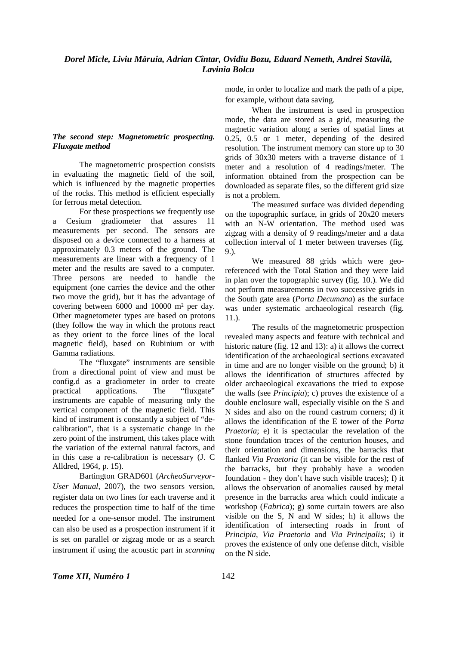### *Dorel Micle, Liviu Măruia, Adrian Cîntar, Ovidiu Bozu, Eduard Nemeth, Andrei Stavilă, Lavinia Bolcu*

#### *The second step: Magnetometric prospecting. Fluxgate method*

The magnetometric prospection consists in evaluating the magnetic field of the soil, which is influenced by the magnetic properties of the rocks. This method is efficient especially for ferrous metal detection.

For these prospections we frequently use a Cesium gradiometer that assures 11 measurements per second. The sensors are disposed on a device connected to a harness at approximately 0.3 meters of the ground. The measurements are linear with a frequency of 1 meter and the results are saved to a computer. Three persons are needed to handle the equipment (one carries the device and the other two move the grid), but it has the advantage of covering between 6000 and 10000 m² per day. Other magnetometer types are based on protons (they follow the way in which the protons react as they orient to the force lines of the local magnetic field), based on Rubinium or with Gamma radiations.

The "fluxgate" instruments are sensible from a directional point of view and must be config.d as a gradiometer in order to create<br>practical applications. The "flux gate" practical applications. The instruments are capable of measuring only the vertical component of the magnetic field. This kind of instrument is constantly a subject of "decalibration", that is a systematic change in the zero point of the instrument, this takes place with the variation of the external natural factors, and in this case a re-calibration is necessary (J. C Alldred, 1964, p. 15).

Bartington GRAD601 (*ArcheoSurveyor-User Manual*, 2007), the two sensors version, register data on two lines for each traverse and it reduces the prospection time to half of the time needed for a one-sensor model. The instrument can also be used as a prospection instrument if it is set on parallel or zigzag mode or as a search instrument if using the acoustic part in *scanning*

mode, in order to localize and mark the path of a pipe, for example, without data saving.

When the instrument is used in prospection mode, the data are stored as a grid, measuring the magnetic variation along a series of spatial lines at 0.25, 0.5 or 1 meter, depending of the desired resolution. The instrument memory can store up to 30 grids of 30x30 meters with a traverse distance of 1 meter and a resolution of 4 readings/meter. The information obtained from the prospection can be downloaded as separate files, so the different grid size is not a problem.

The measured surface was divided depending on the topographic surface, in grids of 20x20 meters with an N-W orientation. The method used was zigzag with a density of 9 readings/meter and a data collection interval of 1 meter between traverses (fig. 9.).

We measured 88 grids which were georeferenced with the Total Station and they were laid in plan over the topographic survey (fig. 10.). We did not perform measurements in two successive grids in the South gate area (*Porta Decumana*) as the surface was under systematic archaeological research (fig. 11.).

The results of the magnetometric prospection revealed many aspects and feature with technical and historic nature (fig. 12 and 13): a) it allows the correct identification of the archaeological sections excavated in time and are no longer visible on the ground; b) it allows the identification of structures affected by older archaeological excavations the tried to expose the walls (see *Principia*); c) proves the existence of a double enclosure wall, especially visible on the S and N sides and also on the round castrum corners; d) it allows the identification of the E tower of the *Porta Praetoria*; e) it is spectacular the revelation of the stone foundation traces of the centurion houses, and their orientation and dimensions, the barracks that flanked *Via Praetoria* (it can be visible for the rest of the barracks, but they probably have a wooden foundation - they don't have such visible traces); f) it allows the observation of anomalies caused by metal presence in the barracks area which could indicate a workshop (*Fabrica*); g) some curtain towers are also visible on the S, N and W sides; h) it allows the identification of intersecting roads in front of *Principia*, *Via Praetoria* and *Via Principalis*; i) it proves the existence of only one defense ditch, visible on the N side.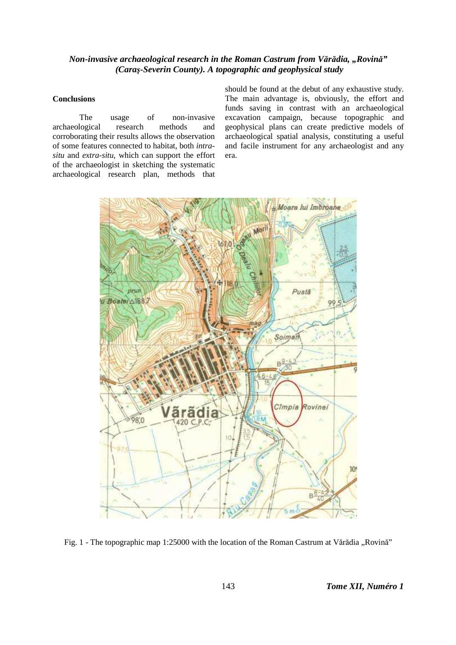#### **Conclusions**

The usage of non-invasive archaeological research methods and corroborating their results allows the observation of some features connected to habitat, both *intrasitu* and *extra-situ*, which can support the effort of the archaeologist in sketching the systematic archaeological research plan, methods that

should be found at the debut of any exhaustive study. The main advantage is, obviously, the effort and funds saving in contrast with an archaeological excavation campaign, because topographic and geophysical plans can create predictive models of archaeological spatial analysis, constituting a useful and facile instrument for any archaeologist and any era.



Fig. 1 - The topographic map 1:25000 with the location of the Roman Castrum at Vărădia "Rovină"

143 *Tome XII, Numéro 1*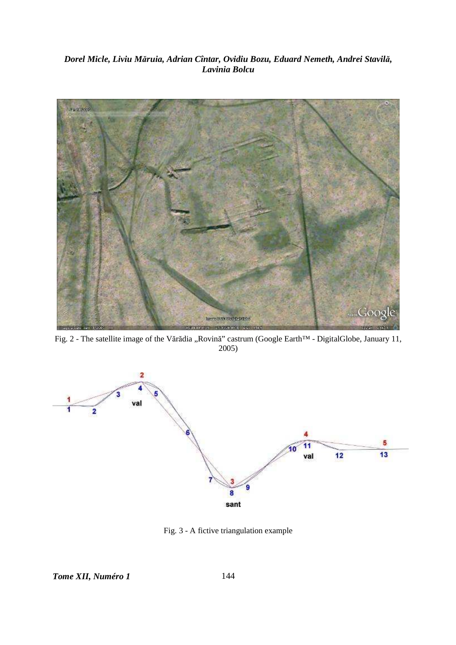## *Dorel Micle, Liviu Măruia, Adrian Cîntar, Ovidiu Bozu, Eduard Nemeth, Andrei Stavilă, Lavinia Bolcu*



Fig. 2 - The satellite image of the Vărădia "Rovină" castrum (Google Earth™ - DigitalGlobe, January 11, 2005)



Fig. 3 - A fictive triangulation example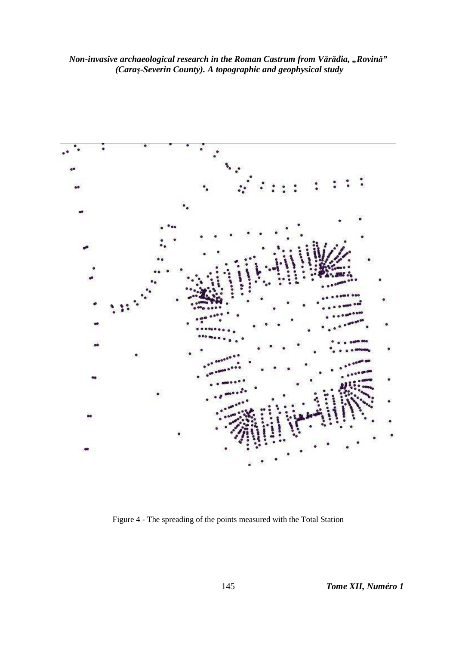

Figure 4 - The spreading of the points measured with the Total Station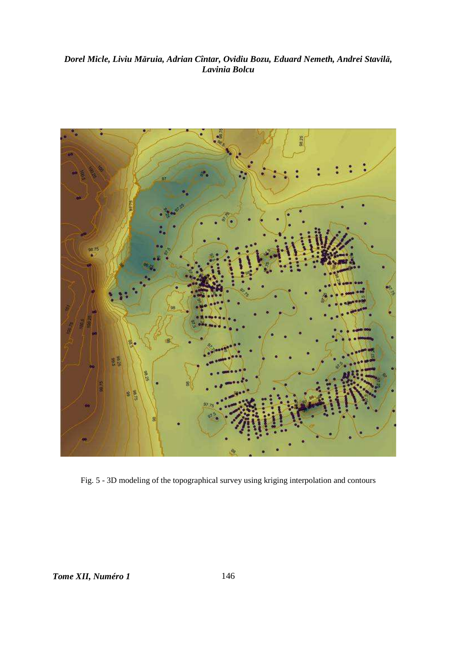## Dorel Micle, Liviu Măruia, Adrian Cîntar, Ovidiu Bozu, Eduard Nemeth, Andrei Stavilă, Lavinia Bolcu



Fig. 5 - 3D modeling of the topographical survey using kriging interpolation and contours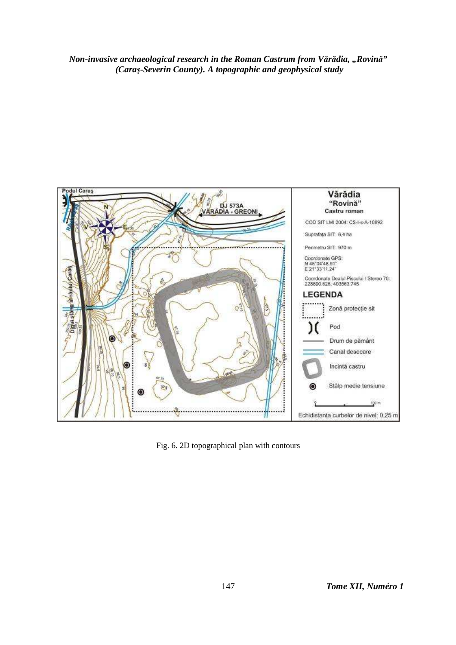

Fig. 6. 2D topographical plan with contours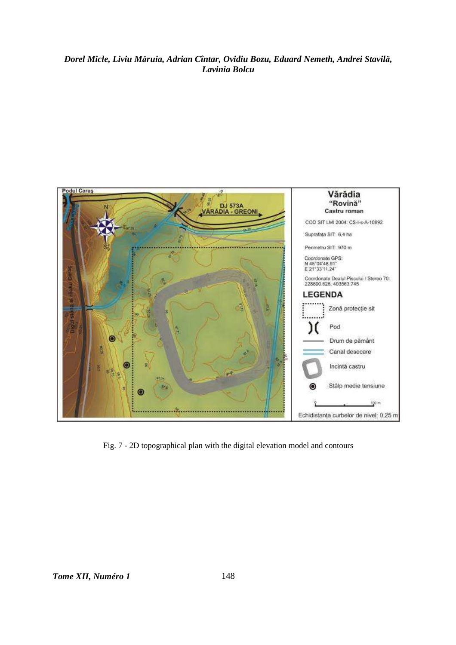## Dorel Micle, Liviu Măruia, Adrian Cîntar, Ovidiu Bozu, Eduard Nemeth, Andrei Stavilă, Lavinia Bolcu



Fig. 7 - 2D topographical plan with the digital elevation model and contours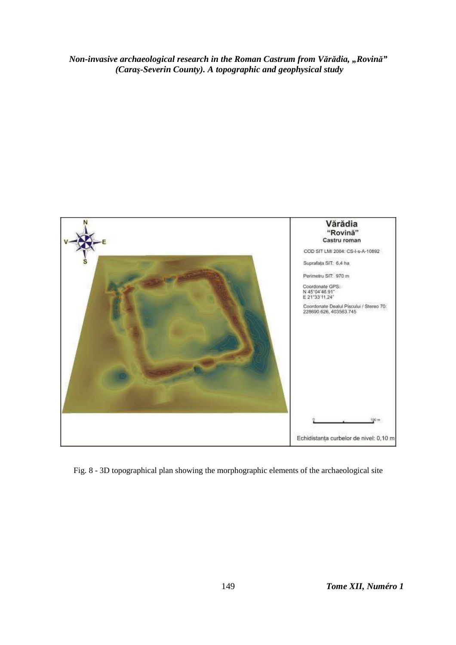

Fig. 8 - 3D topographical plan showing the morphographic elements of the archaeological site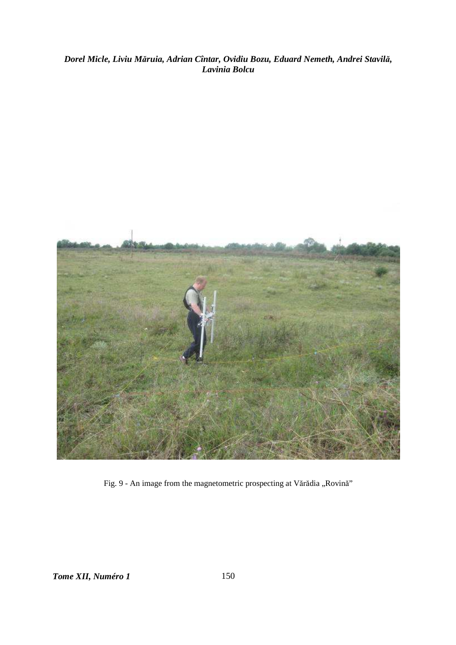# Dorel Micle, Liviu Măruia, Adrian Cîntar, Ovidiu Bozu, Eduard Nemeth, Andrei Stavilă,<br>Lavinia Bolcu



Fig. 9 - An image from the magnetometric prospecting at Vărădia "Rovină"

Tome XII, Numéro 1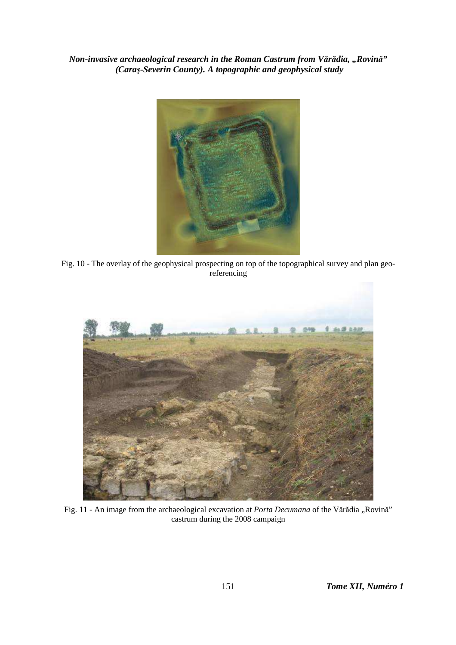

Fig. 10 - The overlay of the geophysical prospecting on top of the topographical survey and plan georeferencing



Fig. 11 - An image from the archaeological excavation at *Porta Decumana* of the Vărădia "Rovină" castrum during the 2008 campaign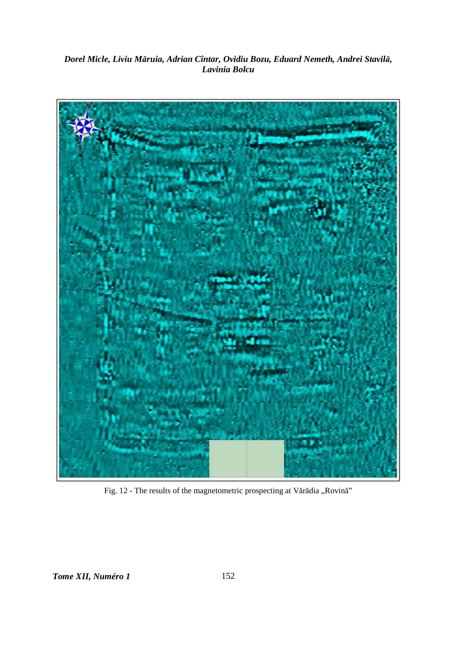# Dorel Micle, Liviu Măruia, Adrian Cîntar, Ovidiu Bozu, Eduard Nemeth, Andrei Stavilă,<br>Lavinia Bolcu



Fig. 12 - The results of the magnetometric prospecting at Vărădia "Rovină"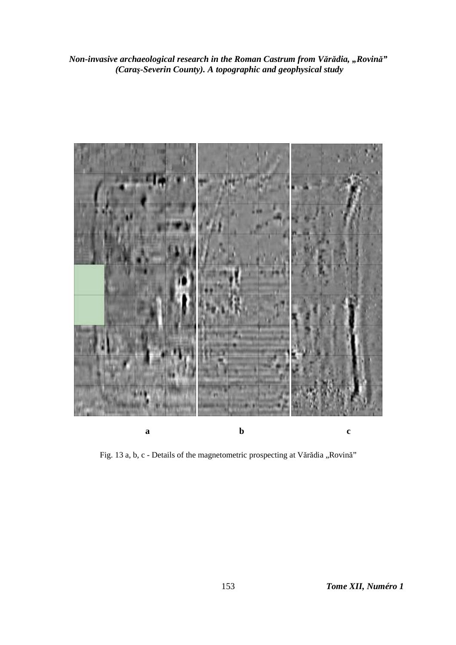

Fig. 13 a, b, c - Details of the magnetometric prospecting at Vărădia "Rovină"